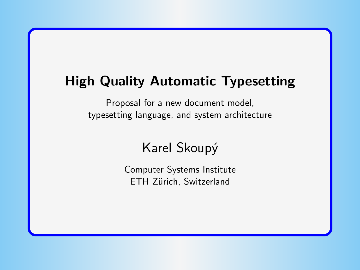# <span id="page-0-0"></span>High Quality Automatic Typesetting

Proposal for a new document model, typesetting language, and system architecture

Karel Skoupý

Computer Systems Institute ETH Zürich, Switzerland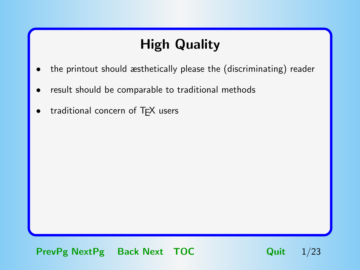# High Quality

- <span id="page-1-0"></span>• the printout should æsthetically please the (discriminating) reader
- result should be comparable to traditional methods
- traditional concern of TFX users

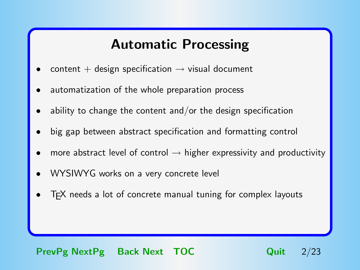## Automatic Processing

- <span id="page-2-0"></span>content + design specification  $\rightarrow$  visual document
- automatization of the whole preparation process
- ability to change the content and/or the design specification
- big gap between abstract specification and formatting control
- more abstract level of control  $\rightarrow$  higher expressivity and productivity
- WYSIWYG works on a very concrete level
- T<sub>F</sub>X needs a lot of concrete manual tuning for complex layouts

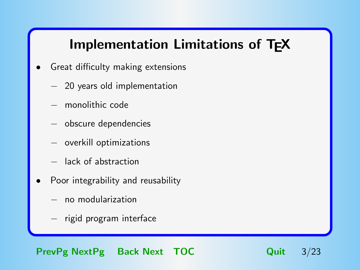# Implementation Limitations of TEX

- <span id="page-3-0"></span>Great difficulty making extensions
	- − 20 years old implementation
	- − monolithic code
	- − obscure dependencies
	- − overkill optimizations
	- − lack of abstraction
- Poor integrability and reusability
	- − no modularization
	- − rigid program interface

[PrevPg](#page-2-0) [NextPg](#page-4-0) Back Next [TOC](#page-23-0) Quit 3/23

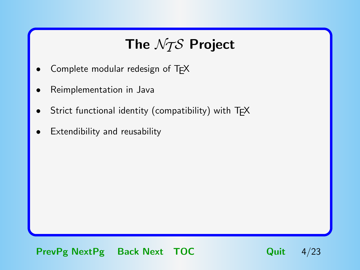# The  $\mathcal{N}$ The  $\mathcal{N}$ The  $\mathcal{N}$

- <span id="page-4-0"></span>Complete modular redesign of TFX
- Reimplementation in Java
- Strict functional identity (compatibility) with TFX
- Extendibility and reusability

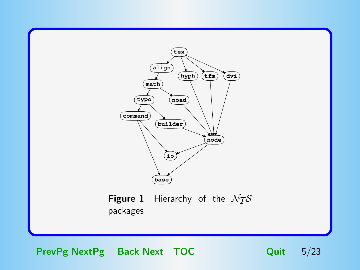<span id="page-5-0"></span>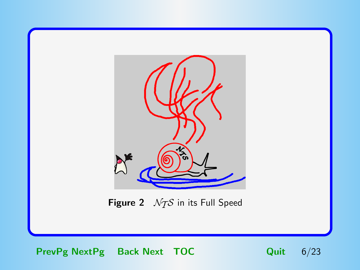<span id="page-6-0"></span>

Figure 2  $NTS$  in its Full Speed

[PrevPg](#page-5-0) [NextPg](#page-7-0) Back Next [TOC](#page-23-0) Quit 6/23

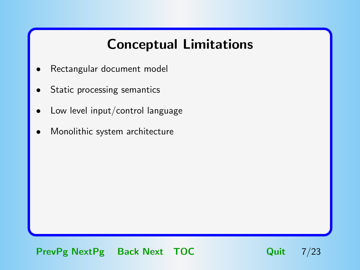# Conceptual Limitations

- <span id="page-7-0"></span>Rectangular document model
- Static processing semantics
- Low level input/control language
- Monolithic system architecture

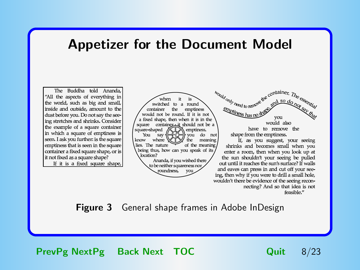### <span id="page-8-0"></span>Appetizer for the Document Model

The Buddha told Ananda, "All the aspects of everything in the world, such as big and small, inside and outside, amount to the dust before you. Do not say the seeing stretches and shrinks. Consider the example of a square container in which a square of emptiness is seen. I ask you further: is the square emptiness that is seen in the square container a fixed square shape, or is it not fixed as a square shape? If it is a fixed square shape,



**Figure 3** General shape frames in Adobe InDesign

[PrevPg](#page-7-0) [NextPg](#page-9-0) Back Next [TOC](#page-23-0) Quit 8/23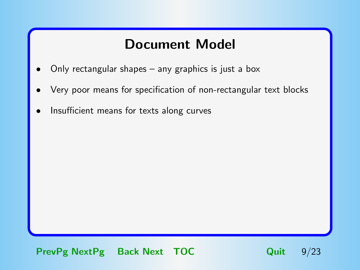### Document Model

- <span id="page-9-0"></span>Only rectangular shapes  $-$  any graphics is just a box
- Very poor means for specification of non-rectangular text blocks
- Insufficient means for texts along curves

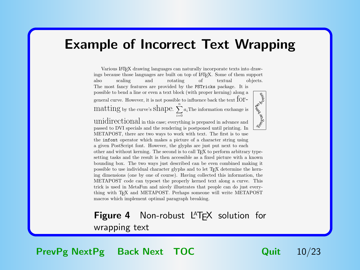#### <span id="page-10-0"></span>Example of Incorrect Text Wrapping

Various L<sup>A</sup>TEX drawing languages can naturally incorporate texts into drawings because those languages are built on top of LATEX. Some of them support also scaling and rotating of textual objects. also scaling and rotating of textual objects. nd oues The most fancy features are provided by the PSTricks package. It is possible to bend a line or even a text block (with proper kerning) along a general curve. However, it is not possible to influence back the text for- $\sum_{n=1}^{\infty}$  matting by the curve's shape.  $\sum_{n=1}^{\infty}$  $\sum_{i=0} a_i$ The information exchange is

Tongue No unidirectional in this case; everything is prepared in advance and passed to DVI specials and the rendering is postponed until printing. In METAPOST, there are two ways to work with text. The first is to use the infont operator which makes a picture of a character string using a given PostScript font. However, the glyphs are just put next to each other and without kerning. The second is to call T<sub>E</sub>X to perform arbitrary typesetting tasks and the result is then accessible as a fixed picture with a known bounding box. The two ways just described can be even combined making it possible to use individual character glyphs and to let TEX determine the kerning dimensions (one by one of course). Having collected this information, the METAPOST code can typeset the properly kerned text along a curve. This trick is used in MetaFun and nicely illustrates that people can do just everything with TEX and METAPOST. Perhaps someone will write METAPOST macros which implement optimal paragraph breaking.

#### **Figure 4** Non-robust  $L^AT$ <sub>F</sub>X solution for wrapping text

[PrevPg](#page-9-0) [NextPg](#page-11-0) Back Next [TOC](#page-23-0) Quit 10/23

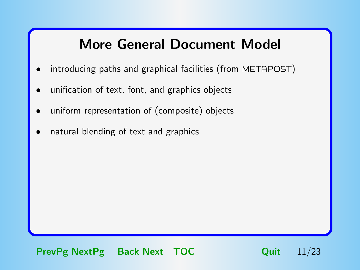# More General Document Model

- <span id="page-11-0"></span>introducing paths and graphical facilities (from METAPOST)
- unification of text, font, and graphics objects
- uniform representation of (composite) objects
- natural blending of text and graphics

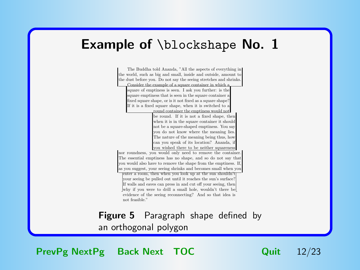#### <span id="page-12-0"></span>Example of *\blockshape No.* 1

The Buddha told Ananda, "All the aspects of everything in the world, such as big and small, inside and outside, amount to the dust before you. Do not say the seeing stretches and shrinks. Consider the example of a square container in which a square of emptiness is seen. I ask you further: is the square emptiness that is seen in the square container a fixed square shape, or is it not fixed as a square shape? If it is a fixed square shape, when it is switched to a round container the emptiness would not be round. If it is not a fixed shape, then when it is in the square container it should not be a square-shaped emptiness. You say you do not know where the meaning lies. The nature of the meaning being thus, how can you speak of its location? Ananda, if you wished there to be neither squareness nor roundness, you would only need to remove the container. The essential emptiness has no shape, and so do not say that you would also have to remove the shape from the emptiness. If as you suggest, your seeing shrinks and becomes small when you enter a room, then when you look up at the sun shouldn't your seeing be pulled out until it reaches the sun's surface? If walls and eaves can press in and cut off your seeing, then why if you were to drill a small hole, wouldn't there be evidence of the seeing reconnecting? And so that idea is not feasible."

**Figure 5** Paragraph shape defined by an orthogonal polygon

[PrevPg](#page-11-0) [NextPg](#page-13-0) Back Next [TOC](#page-23-0) Quit 12/23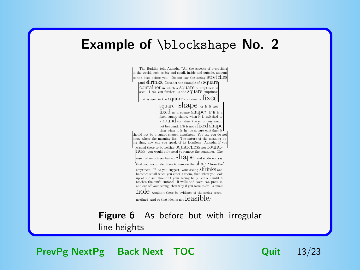### <span id="page-13-0"></span>Example of *\blockshape No.* 2

The Buddha told Ananda, "All the aspects of everything in the world, such as big and small, inside and outside, amount to the dust before you. Do not say the seeing stretches and S $\hbox{H}\Pi\hbox{H}\hbox{K}$ S. Consider the example of a SQUAT container in which a Square of emptiness is seen. I ask you further: is the SQUATC emptiness that is seen in the SQUATC container a  $\operatorname{IXecl}$ square Shape, or is it not fixed as a square shape? If it is fixed square shape, when it is switched t a TOUNC container the emptiness would not be round. If it is not a fixed shape, then when it is in the square container it should not be a square-shaped emptiness. You say you do not know where the meaning lies. The nature of the meaning being thus, how can you speak of its location? Ananda, if you  $\omega$  there to be neither squareness nor roundness, you would only need to remove the container. The essential emptiness has no  $\mathrm{Shape},$  and so do not say that you would also have to remove the shape from the emptiness. If, as you suggest, your seeing Shrinks and becomes small when you enter a room, then when you look up at the sun shouldn't your seeing be pulled out until it reaches the sun's surface? If walls and eaves can press in and cut off your seeing, then why if you were to drill a small hole, wouldn't there be evidence of the seeing reconnecting? And so that idea is not  ${feasible.}$ 

**Figure 6** As before but with irregular line heights

[PrevPg](#page-12-0) [NextPg](#page-14-0) Back Next [TOC](#page-23-0) Quit 13/23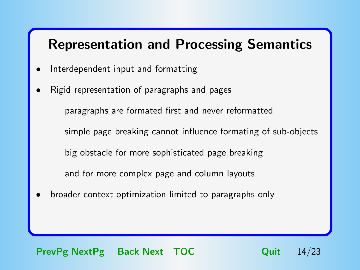# <span id="page-14-0"></span>Representation and Processing Semantics

- Interdependent input and formatting
- Rigid representation of paragraphs and pages
	- − paragraphs are formated first and never reformatted
	- − simple page breaking cannot influence formating of sub-objects
	- − big obstacle for more sophisticated page breaking
	- − and for more complex page and column layouts
- broader context optimization limited to paragraphs only

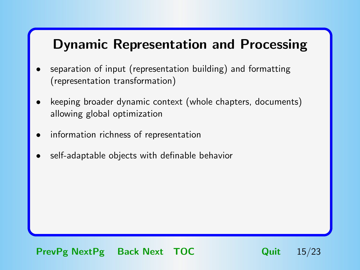# <span id="page-15-0"></span>Dynamic Representation and Processing

- separation of input (representation building) and formatting (representation transformation)
- keeping broader dynamic context (whole chapters, documents) allowing global optimization
- information richness of representation
- self-adaptable objects with definable behavior

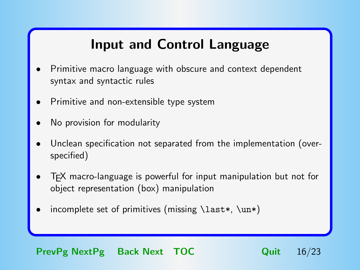# Input and Control Language

- <span id="page-16-0"></span>• Primitive macro language with obscure and context dependent syntax and syntactic rules
- Primitive and non-extensible type system
- No provision for modularity
- Unclean specification not separated from the implementation (overspecified)
- TEX macro-language is powerful for input manipulation but not for object representation (box) manipulation
- incomplete set of primitives (missing  $\last*$ ,  $\un*$ )

#### [PrevPg](#page-15-0) [NextPg](#page-17-0) Back Next [TOC](#page-23-0) Quit 16/23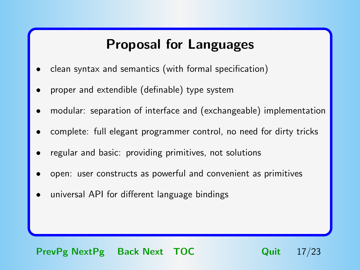## Proposal for Languages

- <span id="page-17-0"></span>• clean syntax and semantics (with formal specification)
- proper and extendible (definable) type system
- modular: separation of interface and (exchangeable) implementation
- complete: full elegant programmer control, no need for dirty tricks
- regular and basic: providing primitives, not solutions
- open: user constructs as powerful and convenient as primitives
- universal API for different language bindings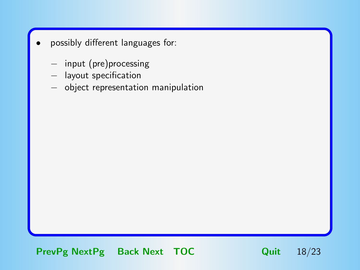- <span id="page-18-0"></span>possibly different languages for:
	- − input (pre)processing
	- − layout specification
	- − object representation manipulation

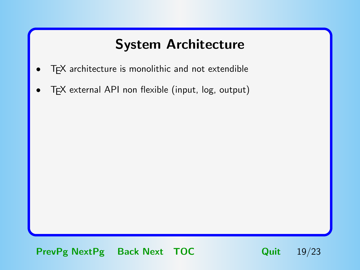# System Architecture

- <span id="page-19-0"></span>T<sub>F</sub>X architecture is monolithic and not extendible
- TEX external API non flexible (input, log, output)

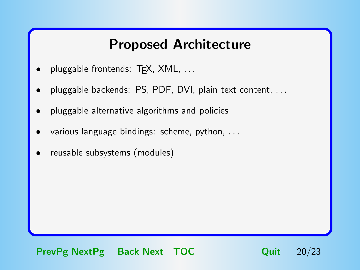### Proposed Architecture

- <span id="page-20-0"></span>pluggable frontends: T<sub>F</sub>X, XML, ...
- pluggable backends: PS, PDF, DVI, plain text content, .. .
- pluggable alternative algorithms and policies
- various language bindings: scheme, python, ...
- reusable subsystems (modules)

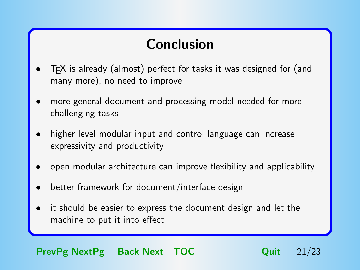# Conclusion

- <span id="page-21-0"></span>T<sub>F</sub>X is already (almost) perfect for tasks it was designed for (and many more), no need to improve
- more general document and processing model needed for more challenging tasks
- higher level modular input and control language can increase expressivity and productivity
- open modular architecture can improve flexibility and applicability
- better framework for document/interface design
- it should be easier to express the document design and let the machine to put it into effect

#### [PrevPg](#page-20-0) [NextPg](#page-22-0) Back Next [TOC](#page-23-0) Quit 21/23

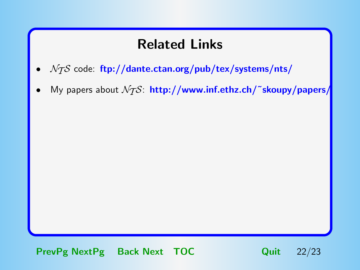# Related Links

- <span id="page-22-0"></span> $\mathcal{N}$  code: <ftp://dante.ctan.org/pub/tex/systems/nts/>
- My papers about  $\mathcal{N}$ S: http://www.inf.ethz.ch/~skoupy/papers/